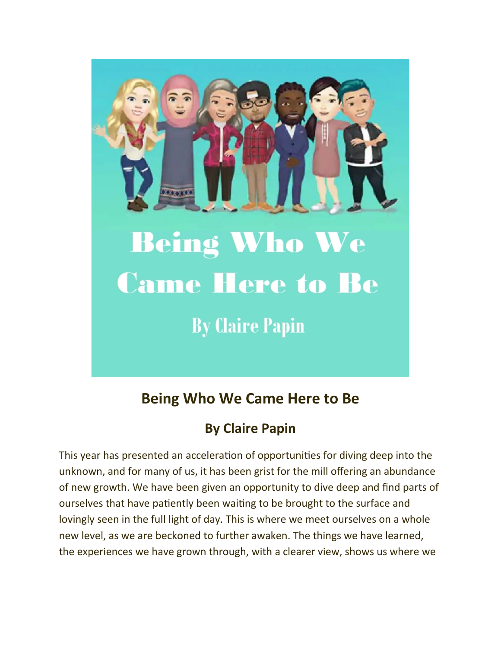

## **Being Who We Came Here to Be**

## **By Claire Papin**

This year has presented an acceleration of opportunities for diving deep into the unknown, and for many of us, it has been grist for the mill offering an abundance of new growth. We have been given an opportunity to dive deep and find parts of ourselves that have patiently been waiting to be brought to the surface and lovingly seen in the full light of day. This is where we meet ourselves on a whole new level, as we are beckoned to further awaken. The things we have learned, the experiences we have grown through, with a clearer view, shows us where we